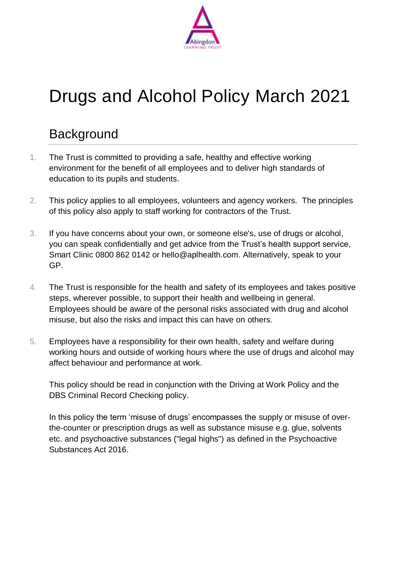

# Drugs and Alcohol Policy March 2021

# **Background**

- 1. The Trust is committed to providing a safe, healthy and effective working environment for the benefit of all employees and to deliver high standards of education to its pupils and students.
- 2. This policy applies to all employees, volunteers and agency workers. The principles of this policy also apply to staff working for contractors of the Trust.
- 3. If you have concerns about your own, or someone else's, use of drugs or alcohol, you can speak confidentially and get advice from the Trust's health support service, Smart Clinic 0800 862 0142 or hello@aplhealth.com. Alternatively, speak to your GP.
- 4. The Trust is responsible for the health and safety of its employees and takes positive steps, wherever possible, to support their health and wellbeing in general. Employees should be aware of the personal risks associated with drug and alcohol misuse, but also the risks and impact this can have on others.
- 5. Employees have a responsibility for their own health, safety and welfare during working hours and outside of working hours where the use of drugs and alcohol may affect behaviour and performance at work.

This policy should be read in conjunction with the [Driving at Work](https://intranet.oxfordshire.gov.uk/cms/content/hr-policies) Policy and the [DBS Criminal Record Checking](https://intranet.oxfordshire.gov.uk/cms/content/hr-policies) policy.

In this policy the term 'misuse of drugs' encompasses the supply or misuse of overthe-counter or prescription drugs as well as substance misuse e.g. glue, solvents etc. and psychoactive substances ("legal highs") as defined in the Psychoactive Substances Act 2016.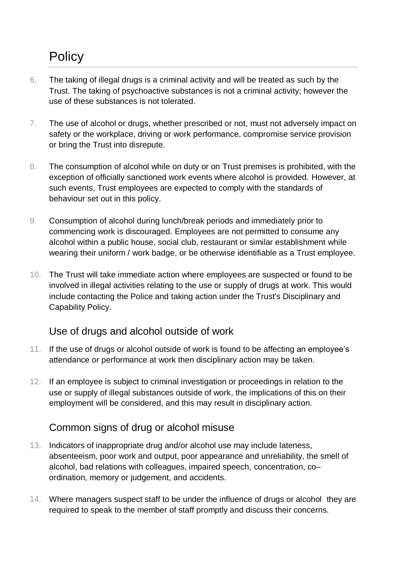# **Policy**

- 6. The taking of illegal drugs is a criminal activity and will be treated as such by the Trust. The taking of psychoactive substances is not a criminal activity; however the use of these substances is not tolerated.
- 7. The use of alcohol or drugs, whether prescribed or not, must not adversely impact on safety or the workplace, driving or work performance, compromise service provision or bring the Trust into disrepute.
- 8. The consumption of alcohol while on duty or on Trust premises is prohibited, with the exception of officially sanctioned work events where alcohol is provided. However, at such events, Trust employees are expected to comply with the standards of behaviour set out in this policy.
- 9. Consumption of alcohol during lunch/break periods and immediately prior to commencing work is discouraged. Employees are not permitted to consume any alcohol within a public house, social club, restaurant or similar establishment while wearing their uniform / work badge, or be otherwise identifiable as a Trust employee.
- 10. The Trust will take immediate action where employees are suspected or found to be involved in illegal activities relating to the use or supply of drugs at work. This would include contacting the Police and taking action under the Trust's Disciplinary and Capability Policy.

## Use of drugs and alcohol outside of work

- 11. If the use of drugs or alcohol outside of work is found to be affecting an employee's attendance or performance at work then disciplinary action may be taken.
- 12. If an employee is subject to criminal investigation or proceedings in relation to the use or supply of illegal substances outside of work, the implications of this on their employment will be considered, and this may result in disciplinary action.

#### Common signs of drug or alcohol misuse

- 13. Indicators of inappropriate drug and/or alcohol use may include lateness, absenteeism, poor work and output, poor appearance and unreliability, the smell of alcohol, bad relations with colleagues, impaired speech, concentration, co– ordination, memory or judgement, and accidents.
- 14. Where managers suspect staff to be under the influence of drugs or alcohol they are required to speak to the member of staff promptly and discuss their concerns.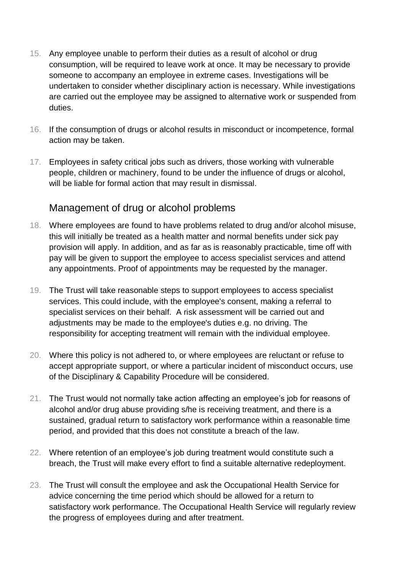- 15. Any employee unable to perform their duties as a result of alcohol or drug consumption, will be required to leave work at once. It may be necessary to provide someone to accompany an employee in extreme cases. Investigations will be undertaken to consider whether disciplinary action is necessary. While investigations are carried out the employee may be assigned to alternative work or suspended from duties.
- 16. If the consumption of drugs or alcohol results in misconduct or incompetence, formal action may be taken.
- 17. Employees in safety critical jobs such as drivers, those working with vulnerable people, children or machinery, found to be under the influence of drugs or alcohol, will be liable for formal action that may result in dismissal.

#### Management of drug or alcohol problems

- 18. Where employees are found to have problems related to drug and/or alcohol misuse, this will initially be treated as a health matter and normal benefits under sick pay provision will apply. In addition, and as far as is reasonably practicable, time off with pay will be given to support the employee to access specialist services and attend any appointments. Proof of appointments may be requested by the manager.
- 19. The Trust will take reasonable steps to support employees to access specialist services. This could include, with the employee's consent, making a referral to specialist services on their behalf. A risk assessment will be carried out and adjustments may be made to the employee's duties e.g. no driving. The responsibility for accepting treatment will remain with the individual employee.
- 20. Where this policy is not adhered to, or where employees are reluctant or refuse to accept appropriate support, or where a particular incident of misconduct occurs, use of the Disciplinary & Capability Procedure will be considered.
- 21. The Trust would not normally take action affecting an employee's job for reasons of alcohol and/or drug abuse providing s/he is receiving treatment, and there is a sustained, gradual return to satisfactory work performance within a reasonable time period, and provided that this does not constitute a breach of the law.
- 22. Where retention of an employee's job during treatment would constitute such a breach, the Trust will make every effort to find a suitable alternative redeployment.
- 23. The Trust will consult the employee and ask the Occupational Health Service for advice concerning the time period which should be allowed for a return to satisfactory work performance. The Occupational Health Service will regularly review the progress of employees during and after treatment.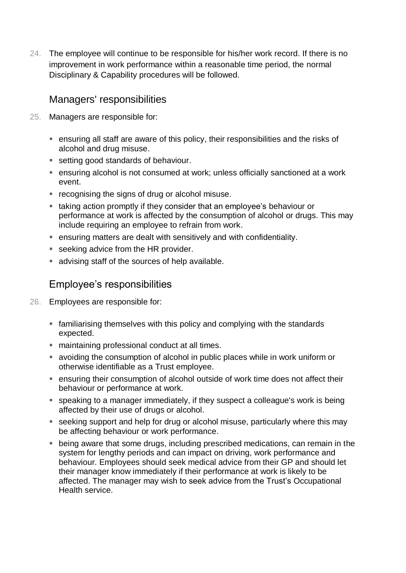24. The employee will continue to be responsible for his/her work record. If there is no improvement in work performance within a reasonable time period, the normal Disciplinary & Capability procedures will be followed.

#### Managers' responsibilities

- 25. Managers are responsible for:
	- ensuring all staff are aware of this policy, their responsibilities and the risks of alcohol and drug misuse.
	- setting good standards of behaviour.
	- ensuring alcohol is not consumed at work; unless officially sanctioned at a work event.
	- **recognising the signs of drug or alcohol misuse.**
	- taking action promptly if they consider that an employee's behaviour or performance at work is affected by the consumption of alcohol or drugs. This may include requiring an employee to refrain from work.
	- ensuring matters are dealt with sensitively and with confidentiality.
	- seeking advice from the HR provider.
	- advising staff of the sources of help available.

## Employee's responsibilities

- 26. Employees are responsible for:
	- familiarising themselves with this policy and complying with the standards expected.
	- **naintaining professional conduct at all times.**
	- avoiding the consumption of alcohol in public places while in work uniform or otherwise identifiable as a Trust employee.
	- ensuring their consumption of alcohol outside of work time does not affect their behaviour or performance at work.
	- speaking to a manager immediately, if they suspect a colleague's work is being affected by their use of drugs or alcohol.
	- seeking support and help for drug or alcohol misuse, particularly where this may be affecting behaviour or work performance.
	- being aware that some drugs, including prescribed medications, can remain in the system for lengthy periods and can impact on driving, work performance and behaviour. Employees should seek medical advice from their GP and should let their manager know immediately if their performance at work is likely to be affected. The manager may wish to seek advice from the Trust's Occupational Health service.